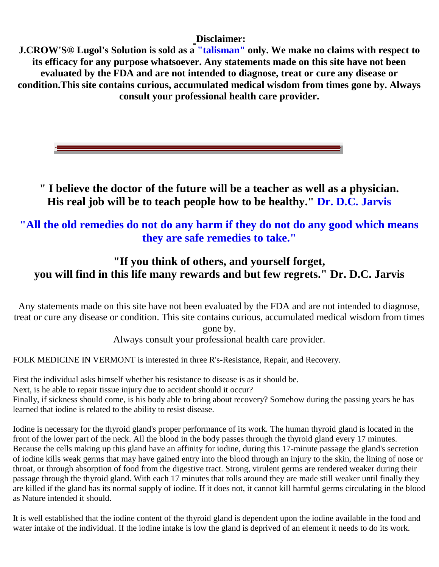### **Disclaimer:**

**J.CROW'S® Lugol's Solution is sold as a ["talisman"](http://www.jcrows.com/iodinelocket.html) only. We make no claims with respect to its efficacy for any purpose whatsoever. Any statements made on this site have not been evaluated by the FDA and are not intended to diagnose, treat or cure any disease or condition.This site contains curious, accumulated medical wisdom from times gone by. Always consult your professional health care provider.**

**" I believe the doctor of the future will be a teacher as well as a physician. His real job will be to teach people how to be healthy." [Dr. D.C. Jarvis](http://www.jcrows.com/jarvisbio.html)**

## **["All the old remedies do not do any harm if they do not do any good which means](http://www.jcrows.com/jn6.html) they are safe [remedies to take."](http://www.jcrows.com/jn6.html)**

## **"If you think of others, and yourself forget, you will find in this life many rewards and but few regrets." Dr. D.C. Jarvis**

Any statements made on this site have not been evaluated by the FDA and are not intended to diagnose, treat or cure any disease or condition. This site contains curious, accumulated medical wisdom from times

> gone by. Always consult your professional health care provider.

FOLK MEDICINE IN VERMONT is interested in three R's-Resistance, Repair, and Recovery.

First the individual asks himself whether his resistance to disease is as it should be. Next, is he able to repair tissue injury due to accident should it occur? Finally, if sickness should come, is his body able to bring about recovery? Somehow during the passing years he has learned that iodine is related to the ability to resist disease.

Iodine is necessary for the thyroid gland's proper performance of its work. The human thyroid gland is located in the front of the lower part of the neck. All the blood in the body passes through the thyroid gland every 17 minutes. Because the cells making up this gland have an affinity for iodine, during this 17-minute passage the gland's secretion of iodine kills weak germs that may have gained entry into the blood through an injury to the skin, the lining of nose or throat, or through absorption of food from the digestive tract. Strong, virulent germs are rendered weaker during their passage through the thyroid gland. With each 17 minutes that rolls around they are made still weaker until finally they are killed if the gland has its normal supply of iodine. If it does not, it cannot kill harmful germs circulating in the blood as Nature intended it should.

It is well established that the iodine content of the thyroid gland is dependent upon the iodine available in the food and water intake of the individual. If the iodine intake is low the gland is deprived of an element it needs to do its work.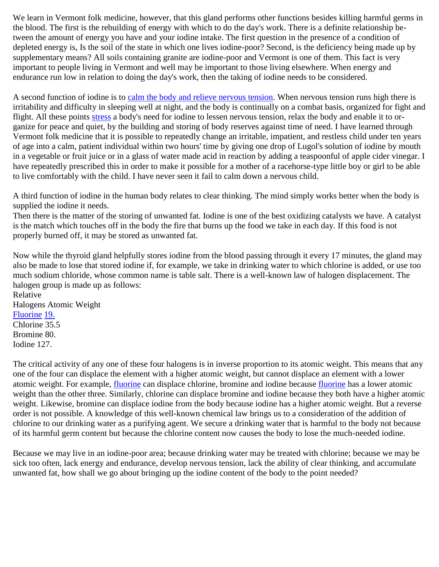We learn in Vermont folk medicine, however, that this gland performs other functions besides killing harmful germs in the blood. The first is the rebuilding of energy with which to do the day's work. There is a definite relationship between the amount of energy you have and your iodine intake. The first question in the presence of a condition of depleted energy is, Is the soil of the state in which one lives iodine-poor? Second, is the deficiency being made up by supplementary means? All soils containing granite are iodine-poor and Vermont is one of them. This fact is very important to people living in Vermont and well may be important to those living elsewhere. When energy and endurance run low in relation to doing the day's work, then the taking of iodine needs to be considered.

A second function of iodine is to [calm the body and relieve nervous tension.](http://www.jcrows.com/stress.html) When nervous tension runs high there is irritability and difficulty in sleeping well at night, and the body is continually on a combat basis, organized for fight and flight. All these points [stress](http://www.jcrows.com/stress.html) a body's need for iodine to lessen nervous tension, relax the body and enable it to organize for peace and quiet, by the building and storing of body reserves against time of need. I have learned through Vermont folk medicine that it is possible to repeatedly change an irritable, impatient, and restless child under ten years of age into a calm, patient individual within two hours' time by giving one drop of Lugol's solution of iodine by mouth in a vegetable or fruit juice or in a glass of water made acid in reaction by adding a teaspoonful of apple cider vinegar. I have repeatedly prescribed this in order to make it possible for a mother of a racehorse-type little boy or girl to be able to live comfortably with the child. I have never seen it fail to calm down a nervous child.

A third function of iodine in the human body relates to clear thinking. The mind simply works better when the body is supplied the iodine it needs.

Then there is the matter of the storing of unwanted fat. Iodine is one of the best oxidizing catalysts we have. A catalyst is the match which touches off in the body the fire that burns up the food we take in each day. If this food is not properly burned off, it may be stored as unwanted fat.

Now while the thyroid gland helpfully stores iodine from the blood passing through it every 17 minutes, the gland may also be made to lose that stored iodine if, for example, we take in drinking water to which chlorine is added, or use too much sodium chloride, whose common name is table salt. There is a well-known law of halogen displacement. The halogen group is made up as follows:

Relative Halogens Atomic Weight [Fluorine](http://curezone.com/forums/fm.asp?i=1625879#i) [19.](http://curezone.com/forums/fm.asp?i=1625879#i) Chlorine 35.5 Bromine 80. Iodine 127.

The critical activity of any one of these four halogens is in inverse proportion to its atomic weight. This means that any one of the four can displace the element with a higher atomic weight, but cannot displace an element with a lower atomic weight. For example, [fluorine](http://curezone.com/forums/fm.asp?i=1625879#i) can displace chlorine, bromine and iodine because [fluorine](http://curezone.com/forums/fm.asp?i=1625879#i) has a lower atomic weight than the other three. Similarly, chlorine can displace bromine and iodine because they both have a higher atomic weight. Likewise, bromine can displace iodine from the body because iodine has a higher atomic weight. But a reverse order is not possible. A knowledge of this well-known chemical law brings us to a consideration of the addition of chlorine to our drinking water as a purifying agent. We secure a drinking water that is harmful to the body not because of its harmful germ content but because the chlorine content now causes the body to lose the much-needed iodine.

Because we may live in an iodine-poor area; because drinking water may be treated with chlorine; because we may be sick too often, lack energy and endurance, develop nervous tension, lack the ability of clear thinking, and accumulate unwanted fat, how shall we go about bringing up the iodine content of the body to the point needed?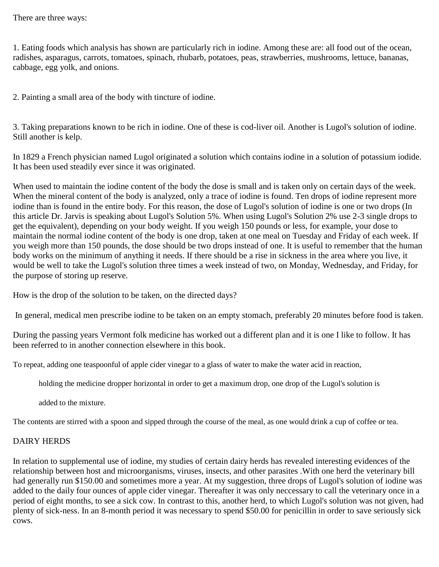There are three ways:

1. Eating foods which analysis has shown are particularly rich in iodine. Among these are: all food out of the ocean, radishes, asparagus, carrots, tomatoes, spinach, rhubarb, potatoes, peas, strawberries, mushrooms, lettuce, bananas, cabbage, egg yolk, and onions.

2. Painting a small area of the body with tincture of iodine.

3. Taking preparations known to be rich in iodine. One of these is cod-liver oil. Another is Lugol's solution of iodine. Still another is kelp.

In 1829 a French physician named Lugol originated a solution which contains iodine in a solution of potassium iodide. It has been used steadily ever since it was originated.

When used to maintain the iodine content of the body the dose is small and is taken only on certain days of the week. When the mineral content of the body is analyzed, only a trace of iodine is found. Ten drops of iodine represent more iodine than is found in the entire body. For this reason, the dose of Lugol's solution of iodine is one or two drops (In this article Dr. Jarvis is speaking about Lugol's Solution 5%. When using Lugol's Solution 2% use 2-3 single drops to get the equivalent), depending on your body weight. If you weigh 150 pounds or less, for example, your dose to maintain the normal iodine content of the body is one drop, taken at one meal on Tuesday and Friday of each week. If you weigh more than 150 pounds, the dose should be two drops instead of one. It is useful to remember that the human body works on the minimum of anything it needs. If there should be a rise in sickness in the area where you live, it would be well to take the Lugol's solution three times a week instead of two, on Monday, Wednesday, and Friday, for the purpose of storing up reserve.

How is the drop of the solution to be taken, on the directed days?

In general, medical men prescribe iodine to be taken on an empty stomach, preferably 20 minutes before food is taken.

During the passing years Vermont folk medicine has worked out a different plan and it is one I like to follow. It has been referred to in another connection elsewhere in this book.

To repeat, adding one teaspoonful of apple cider vinegar to a glass of water to make the water acid in reaction,

holding the medicine dropper horizontal in order to get a maximum drop, one drop of the Lugol's solution is

added to the mixture.

The contents are stirred with a spoon and sipped through the course of the meal, as one would drink a cup of coffee or tea.

#### DAIRY HERDS

In relation to supplemental use of iodine, my studies of certain dairy herds has revealed interesting evidences of the relationship between host and microorganisms, viruses, insects, and other parasites .With one herd the veterinary bill had generally run \$150.00 and sometimes more a year. At my suggestion, three drops of Lugol's solution of iodine was added to the daily four ounces of apple cider vinegar. Thereafter it was only neccessary to call the veterinary once in a period of eight months, to see a sick cow. In contrast to this, another herd, to which Lugol's solution was not given, had plenty of sick-ness. In an 8-month period it was necessary to spend \$50.00 for penicillin in order to save seriously sick cows.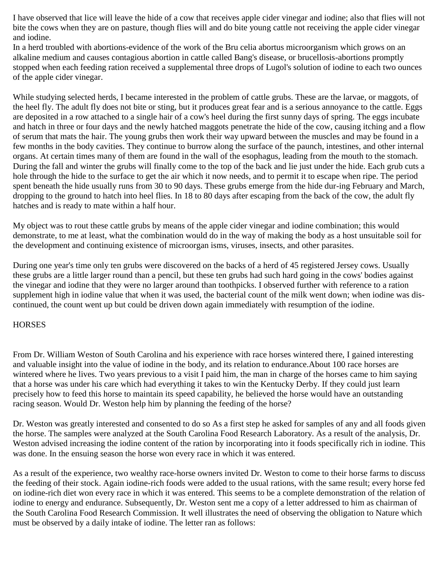I have observed that lice will leave the hide of a cow that receives apple cider vinegar and iodine; also that flies will not bite the cows when they are on pasture, though flies will and do bite young cattle not receiving the apple cider vinegar and iodine.

In a herd troubled with abortions-evidence of the work of the Bru celia abortus microorganism which grows on an alkaline medium and causes contagious abortion in cattle called Bang's disease, or brucellosis-abortions promptly stopped when each feeding ration received a supplemental three drops of Lugol's solution of iodine to each two ounces of the apple cider vinegar.

While studying selected herds, I became interested in the problem of cattle grubs. These are the larvae, or maggots, of the heel fly. The adult fly does not bite or sting, but it produces great fear and is a serious annoyance to the cattle. Eggs are deposited in a row attached to a single hair of a cow's heel during the first sunny days of spring. The eggs incubate and hatch in three or four days and the newly hatched maggots penetrate the hide of the cow, causing itching and a flow of serum that mats the hair. The young grubs then work their way upward between the muscles and may be found in a few months in the body cavities. They continue to burrow along the surface of the paunch, intestines, and other internal organs. At certain times many of them are found in the wall of the esophagus, leading from the mouth to the stomach. During the fall and winter the grubs will finally come to the top of the back and lie just under the hide. Each grub cuts a hole through the hide to the surface to get the air which it now needs, and to permit it to escape when ripe. The period spent beneath the hide usually runs from 30 to 90 days. These grubs emerge from the hide dur-ing February and March, dropping to the ground to hatch into heel flies. In 18 to 80 days after escaping from the back of the cow, the adult fly hatches and is ready to mate within a half hour.

My object was to rout these cattle grubs by means of the apple cider vinegar and iodine combination; this would demonstrate, to me at least, what the combination would do in the way of making the body as a host unsuitable soil for the development and continuing existence of microorgan isms, viruses, insects, and other parasites.

During one year's time only ten grubs were discovered on the backs of a herd of 45 registered Jersey cows. Usually these grubs are a little larger round than a pencil, but these ten grubs had such hard going in the cows' bodies against the vinegar and iodine that they were no larger around than toothpicks. I observed further with reference to a ration supplement high in iodine value that when it was used, the bacterial count of the milk went down; when iodine was discontinued, the count went up but could be driven down again immediately with resumption of the iodine.

#### **HORSES**

From Dr. William Weston of South Carolina and his experience with race horses wintered there, I gained interesting and valuable insight into the value of iodine in the body, and its relation to endurance.About 100 race horses are wintered where he lives. Two years previous to a visit I paid him, the man in charge of the horses came to him saying that a horse was under his care which had everything it takes to win the Kentucky Derby. If they could just learn precisely how to feed this horse to maintain its speed capability, he believed the horse would have an outstanding racing season. Would Dr. Weston help him by planning the feeding of the horse?

Dr. Weston was greatly interested and consented to do so As a first step he asked for samples of any and all foods given the horse. The samples were analyzed at the South Carolina Food Research Laboratory. As a result of the analysis, Dr. Weston advised increasing the iodine content of the ration by incorporating into it foods specifically rich in iodine. This was done. In the ensuing season the horse won every race in which it was entered.

As a result of the experience, two wealthy race-horse owners invited Dr. Weston to come to their horse farms to discuss the feeding of their stock. Again iodine-rich foods were added to the usual rations, with the same result; every horse fed on iodine-rich diet won every race in which it was entered. This seems to be a complete demonstration of the relation of iodine to energy and endurance. Subsequently, Dr. Weston sent me a copy of a letter addressed to him as chairman of the South Carolina Food Research Commission. It well illustrates the need of observing the obligation to Nature which must be observed by a daily intake of iodine. The letter ran as follows: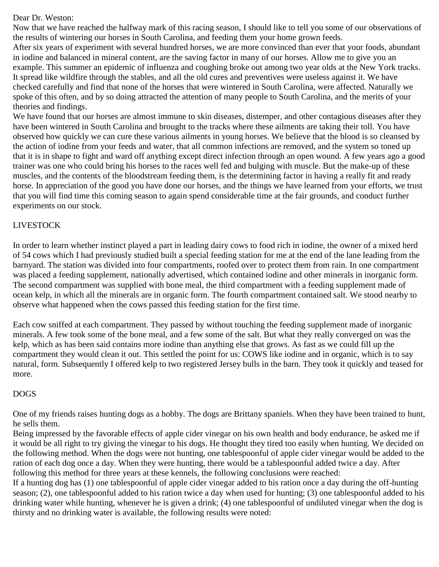#### Dear Dr. Weston:

Now that we have reached the halfway mark of this racing season, I should like to tell you some of our observations of the results of wintering our horses in South Carolina, and feeding them your home grown feeds.

After six years of experiment with several hundred horses, we are more convinced than ever that your foods, abundant in iodine and balanced in mineral content, are the saving factor in many of our horses. Allow me to give you an example. This summer an epidemic of influenza and coughing broke out among two year olds at the New York tracks. It spread like wildfire through the stables, and all the old cures and preventives were useless against it. We have checked carefully and find that none of the horses that were wintered in South Carolina, were affected. Naturally we spoke of this often, and by so doing attracted the attention of many people to South Carolina, and the merits of your theories and findings.

We have found that our horses are almost immune to skin diseases, distemper, and other contagious diseases after they have been wintered in South Carolina and brought to the tracks where these ailments are taking their toll. You have observed how quickly we can cure these various ailments in young horses. We believe that the blood is so cleansed by the action of iodine from your feeds and water, that all common infections are removed, and the system so toned up that it is in shape to fight and ward off anything except direct infection through an open wound. A few years ago a good trainer was one who could bring his horses to the races well fed and bulging with muscle. But the make-up of these muscles, and the contents of the bloodstream feeding them, is the determining factor in having a really fit and ready horse. In appreciation of the good you have done our horses, and the things we have learned from your efforts, we trust that you will find time this coming season to again spend considerable time at the fair grounds, and conduct further experiments on our stock.

#### LIVESTOCK

In order to learn whether instinct played a part in leading dairy cows to food rich in iodine, the owner of a mixed herd of 54 cows which I had previously studied built a special feeding station for me at the end of the lane leading from the barnyard. The station was divided into four compartments, roofed over to protect them from rain. In one compartment was placed a feeding supplement, nationally advertised, which contained iodine and other minerals in inorganic form. The second compartment was supplied with bone meal, the third compartment with a feeding supplement made of ocean kelp, in which all the minerals are in organic form. The fourth compartment contained salt. We stood nearby to observe what happened when the cows passed this feeding station for the first time.

Each cow sniffed at each compartment. They passed by without touching the feeding supplement made of inorganic minerals. A few took some of the bone meal, and a few some of the salt. But what they really converged on was the kelp, which as has been said contains more iodine than anything else that grows. As fast as we could fill up the compartment they would clean it out. This settled the point for us: COWS like iodine and in organic, which is to say natural, form. Subsequently I offered kelp to two registered Jersey bulls in the barn. They took it quickly and teased for more.

#### DOGS

One of my friends raises hunting dogs as a hobby. The dogs are Brittany spaniels. When they have been trained to hunt, he sells them.

Being impressed by the favorable effects of apple cider vinegar on his own health and body endurance, he asked me if it would be all right to try giving the vinegar to his dogs. He thought they tired too easily when hunting. We decided on the following method. When the dogs were not hunting, one tablespoonful of apple cider vinegar would be added to the ration of each dog once a day. When they were hunting, there would be a tablespoonful added twice a day. After following this method for three years at these kennels, the following conclusions were reached:

If a hunting dog has (1) one tablespoonful of apple cider vinegar added to his ration once a day during the off-hunting season; (2), one tablespoonful added to his ration twice a day when used for hunting; (3) one tablespoonful added to his drinking water while hunting, whenever he is given a drink; (4) one tablespoonful of undiluted vinegar when the dog is thirsty and no drinking water is available, the following results were noted: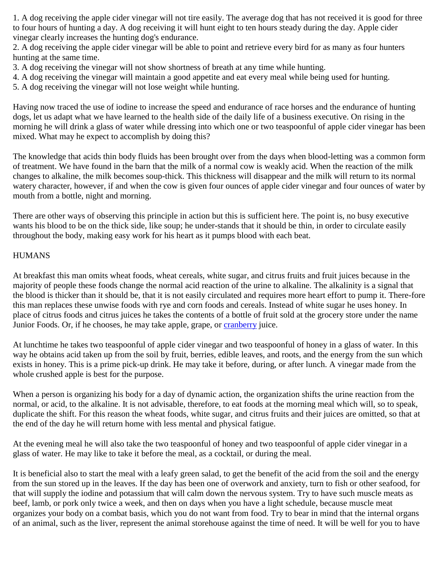1. A dog receiving the apple cider vinegar will not tire easily. The average dog that has not received it is good for three to four hours of hunting a day. A dog receiving it will hunt eight to ten hours steady during the day. Apple cider vinegar clearly increases the hunting dog's endurance.

2. A dog receiving the apple cider vinegar will be able to point and retrieve every bird for as many as four hunters hunting at the same time.

- 3. A dog receiving the vinegar will not show shortness of breath at any time while hunting.
- 4. A dog receiving the vinegar will maintain a good appetite and eat every meal while being used for hunting.

5. A dog receiving the vinegar will not lose weight while hunting.

Having now traced the use of iodine to increase the speed and endurance of race horses and the endurance of hunting dogs, let us adapt what we have learned to the health side of the daily life of a business executive. On rising in the morning he will drink a glass of water while dressing into which one or two teaspoonful of apple cider vinegar has been mixed. What may he expect to accomplish by doing this?

The knowledge that acids thin body fluids has been brought over from the days when blood-letting was a common form of treatment. We have found in the barn that the milk of a normal cow is weakly acid. When the reaction of the milk changes to alkaline, the milk becomes soup-thick. This thickness will disappear and the milk will return to its normal watery character, however, if and when the cow is given four ounces of apple cider vinegar and four ounces of water by mouth from a bottle, night and morning.

There are other ways of observing this principle in action but this is sufficient here. The point is, no busy executive wants his blood to be on the thick side, like soup; he under-stands that it should be thin, in order to circulate easily throughout the body, making easy work for his heart as it pumps blood with each beat.

#### **HUMANS**

At breakfast this man omits wheat foods, wheat cereals, white sugar, and citrus fruits and fruit juices because in the majority of people these foods change the normal acid reaction of the urine to alkaline. The alkalinity is a signal that the blood is thicker than it should be, that it is not easily circulated and requires more heart effort to pump it. There-fore this man replaces these unwise foods with rye and corn foods and cereals. Instead of white sugar he uses honey. In place of citrus foods and citrus juices he takes the contents of a bottle of fruit sold at the grocery store under the name Junior Foods. Or, if he chooses, he may take apple, grape, or [cranberry](http://www.jcrows.com/cranberryoregano.html) juice.

At lunchtime he takes two teaspoonful of apple cider vinegar and two teaspoonful of honey in a glass of water. In this way he obtains acid taken up from the soil by fruit, berries, edible leaves, and roots, and the energy from the sun which exists in honey. This is a prime pick-up drink. He may take it before, during, or after lunch. A vinegar made from the whole crushed apple is best for the purpose.

When a person is organizing his body for a day of dynamic action, the organization shifts the urine reaction from the normal, or acid, to the alkaline. It is not advisable, therefore, to eat foods at the morning meal which will, so to speak, duplicate the shift. For this reason the wheat foods, white sugar, and citrus fruits and their juices are omitted, so that at the end of the day he will return home with less mental and physical fatigue.

At the evening meal he will also take the two teaspoonful of honey and two teaspoonful of apple cider vinegar in a glass of water. He may like to take it before the meal, as a cocktail, or during the meal.

It is beneficial also to start the meal with a leafy green salad, to get the benefit of the acid from the soil and the energy from the sun stored up in the leaves. If the day has been one of overwork and anxiety, turn to fish or other seafood, for that will supply the iodine and potassium that will calm down the nervous system. Try to have such muscle meats as beef, lamb, or pork only twice a week, and then on days when you have a light schedule, because muscle meat organizes your body on a combat basis, which you do not want from food. Try to bear in mind that the internal organs of an animal, such as the liver, represent the animal storehouse against the time of need. It will be well for you to have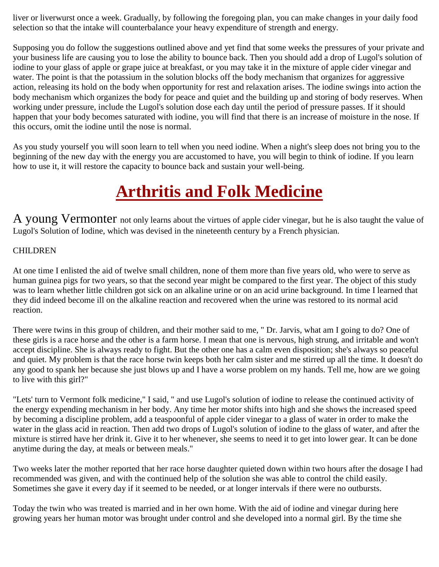liver or liverwurst once a week. Gradually, by following the foregoing plan, you can make changes in your daily food selection so that the intake will counterbalance your heavy expenditure of strength and energy.

Supposing you do follow the suggestions outlined above and yet find that some weeks the pressures of your private and your business life are causing you to lose the ability to bounce back. Then you should add a drop of Lugol's solution of iodine to your glass of apple or grape juice at breakfast, or you may take it in the mixture of apple cider vinegar and water. The point is that the potassium in the solution blocks off the body mechanism that organizes for aggressive action, releasing its hold on the body when opportunity for rest and relaxation arises. The iodine swings into action the body mechanism which organizes the body for peace and quiet and the building up and storing of body reserves. When working under pressure, include the Lugol's solution dose each day until the period of pressure passes. If it should happen that your body becomes saturated with iodine, you will find that there is an increase of moisture in the nose. If this occurs, omit the iodine until the nose is normal.

As you study yourself you will soon learn to tell when you need iodine. When a night's sleep does not bring you to the beginning of the new day with the energy you are accustomed to have, you will begin to think of iodine. If you learn how to use it, it will restore the capacity to bounce back and sustain your well-being.

# **Arthritis and Folk Medicine**

A young Vermonter not only learns about the virtues of apple cider vinegar, but he is also taught the value of Lugol's Solution of Iodine, which was devised in the nineteenth century by a French physician.

#### **CHILDREN**

At one time I enlisted the aid of twelve small children, none of them more than five years old, who were to serve as human guinea pigs for two years, so that the second year might be compared to the first year. The object of this study was to learn whether little children got sick on an alkaline urine or on an acid urine background. In time I learned that they did indeed become ill on the alkaline reaction and recovered when the urine was restored to its normal acid reaction.

There were twins in this group of children, and their mother said to me, " Dr. Jarvis, what am I going to do? One of these girls is a race horse and the other is a farm horse. I mean that one is nervous, high strung, and irritable and won't accept discipline. She is always ready to fight. But the other one has a calm even disposition; she's always so peaceful and quiet. My problem is that the race horse twin keeps both her calm sister and me stirred up all the time. It doesn't do any good to spank her because she just blows up and I have a worse problem on my hands. Tell me, how are we going to live with this girl?"

"Lets' turn to Vermont folk medicine," I said, " and use Lugol's solution of iodine to release the continued activity of the energy expending mechanism in her body. Any time her motor shifts into high and she shows the increased speed by becoming a discipline problem, add a teaspoonful of apple cider vinegar to a glass of water in order to make the water in the glass acid in reaction. Then add two drops of Lugol's solution of iodine to the glass of water, and after the mixture is stirred have her drink it. Give it to her whenever, she seems to need it to get into lower gear. It can be done anytime during the day, at meals or between meals."

Two weeks later the mother reported that her race horse daughter quieted down within two hours after the dosage I had recommended was given, and with the continued help of the solution she was able to control the child easily. Sometimes she gave it every day if it seemed to be needed, or at longer intervals if there were no outbursts.

Today the twin who was treated is married and in her own home. With the aid of iodine and vinegar during here growing years her human motor was brought under control and she developed into a normal girl. By the time she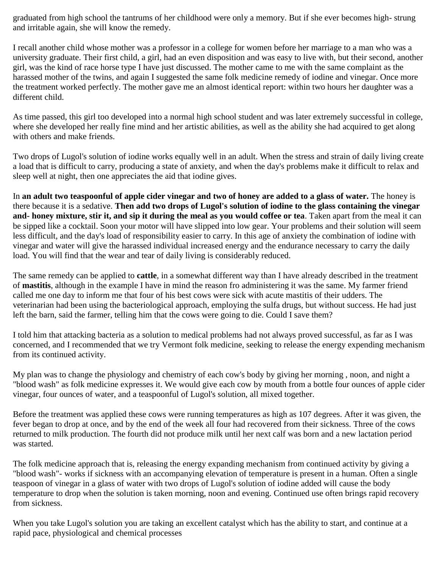graduated from high school the tantrums of her childhood were only a memory. But if she ever becomes high- strung and irritable again, she will know the remedy.

I recall another child whose mother was a professor in a college for women before her marriage to a man who was a university graduate. Their first child, a girl, had an even disposition and was easy to live with, but their second, another girl, was the kind of race horse type I have just discussed. The mother came to me with the same complaint as the harassed mother of the twins, and again I suggested the same folk medicine remedy of iodine and vinegar. Once more the treatment worked perfectly. The mother gave me an almost identical report: within two hours her daughter was a different child.

As time passed, this girl too developed into a normal high school student and was later extremely successful in college, where she developed her really fine mind and her artistic abilities, as well as the ability she had acquired to get along with others and make friends.

Two drops of Lugol's solution of iodine works equally well in an adult. When the stress and strain of daily living create a load that is difficult to carry, producing a state of anxiety, and when the day's problems make it difficult to relax and sleep well at night, then one appreciates the aid that iodine gives.

In **an adult two teaspoonful of apple cider vinegar and two of honey are added to a glass of water.** The honey is there because it is a sedative. **Then add two drops of Lugol's solution of iodine to the glass containing the vinegar and- honey mixture, stir it, and sip it during the meal as you would coffee or tea**. Taken apart from the meal it can be sipped like a cocktail. Soon your motor will have slipped into low gear. Your problems and their solution will seem less difficult, and the day's load of responsibility easier to carry. In this age of anxiety the combination of iodine with vinegar and water will give the harassed individual increased energy and the endurance necessary to carry the daily load. You will find that the wear and tear of daily living is considerably reduced.

The same remedy can be applied to **cattle**, in a somewhat different way than I have already described in the treatment of **mastitis**, although in the example I have in mind the reason fro administering it was the same. My farmer friend called me one day to inform me that four of his best cows were sick with acute mastitis of their udders. The veterinarian had been using the bacteriological approach, employing the sulfa drugs, but without success. He had just left the barn, said the farmer, telling him that the cows were going to die. Could I save them?

I told him that attacking bacteria as a solution to medical problems had not always proved successful, as far as I was concerned, and I recommended that we try Vermont folk medicine, seeking to release the energy expending mechanism from its continued activity.

My plan was to change the physiology and chemistry of each cow's body by giving her morning , noon, and night a "blood wash" as folk medicine expresses it. We would give each cow by mouth from a bottle four ounces of apple cider vinegar, four ounces of water, and a teaspoonful of Lugol's solution, all mixed together.

Before the treatment was applied these cows were running temperatures as high as 107 degrees. After it was given, the fever began to drop at once, and by the end of the week all four had recovered from their sickness. Three of the cows returned to milk production. The fourth did not produce milk until her next calf was born and a new lactation period was started.

The folk medicine approach that is, releasing the energy expanding mechanism from continued activity by giving a "blood wash"- works if sickness with an accompanying elevation of temperature is present in a human. Often a single teaspoon of vinegar in a glass of water with two drops of Lugol's solution of iodine added will cause the body temperature to drop when the solution is taken morning, noon and evening. Continued use often brings rapid recovery from sickness.

When you take Lugol's solution you are taking an excellent catalyst which has the ability to start, and continue at a rapid pace, physiological and chemical processes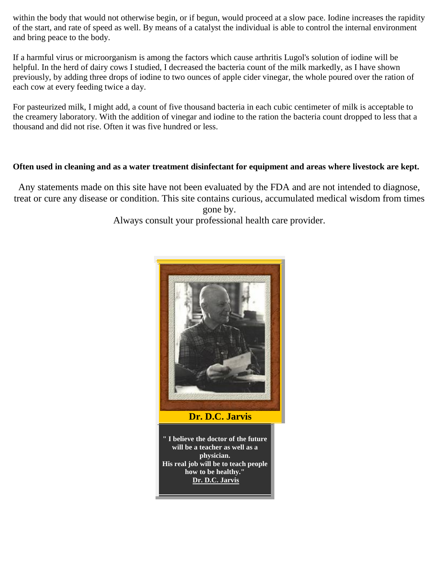within the body that would not otherwise begin, or if begun, would proceed at a slow pace. Iodine increases the rapidity of the start, and rate of speed as well. By means of a catalyst the individual is able to control the internal environment and bring peace to the body.

If a harmful virus or microorganism is among the factors which cause arthritis Lugol's solution of iodine will be helpful. In the herd of dairy cows I studied, I decreased the bacteria count of the milk markedly, as I have shown previously, by adding three drops of iodine to two ounces of apple cider vinegar, the whole poured over the ration of each cow at every feeding twice a day.

For pasteurized milk, I might add, a count of five thousand bacteria in each cubic centimeter of milk is acceptable to the creamery laboratory. With the addition of vinegar and iodine to the ration the bacteria count dropped to less that a thousand and did not rise. Often it was five hundred or less.

#### **Often used in cleaning and as a water treatment disinfectant for equipment and areas where livestock are kept.**

Any statements made on this site have not been evaluated by the FDA and are not intended to diagnose, treat or cure any disease or condition. This site contains curious, accumulated medical wisdom from times gone by.

Always consult your professional health care provider.